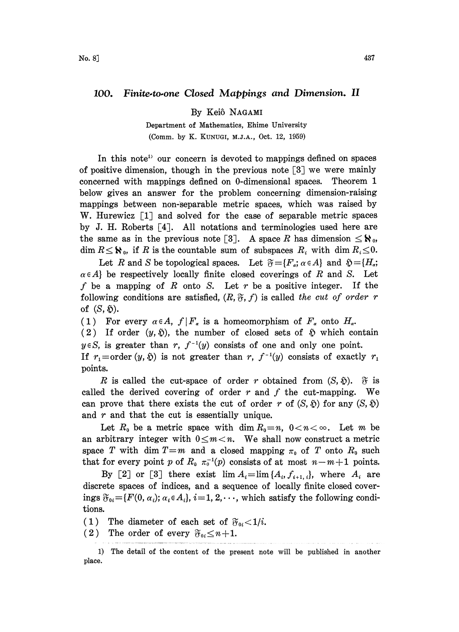## 100. Finite.to.one Closed Mappings and Dimension. II

By Keiô NAGAMI

Department of Mathematics, Ehime University (Comm. by K. KUNUGI, M.J.A., Oct. 12, 1959)

In this note<sup>1</sup> our concern is devoted to mappings defined on spaces of positive dimension, though in the previous note  $\lceil 3 \rceil$  we were mainly concerned with mappings defined on 0-dimensional spaces. Theorem 1 below gives an answer for the problem concerning dimension-raising mappings between non-separable metric spaces, which was raised by W. Hurewicz  $\lceil 1 \rceil$  and solved for the case of separable metric spaces by J. H. Roberts  $\lceil 4 \rceil$ . All notations and terminologies used here are the same as in the previous note [3]. A space R has dimension  $\leq \aleph_0$ , dim  $R \leq \aleph_0$ , if R is the countable sum of subspaces  $R_i$  with dim  $R_i \leq 0$ .

Let R and S be topological spaces. Let  $\mathfrak{F} = \{F_a; \alpha \in A\}$  and  $\mathfrak{F} = \{H_a;$ <br>} be respectively locally finite closed coverings of R and S. Let<br> $e$  a mapping of R onto S. Let r be a positive integer. If the<br>wing condi  $\alpha \in A$  be respectively locally finite closed coverings of R and S. Let f be a mapping of R onto S. Let r be a positive integer. If the following conditions are satisfied,  $(R, \mathfrak{F}, f)$  is called the cut of order r of  $(S, \mathfrak{H})$ .

(1) For every  $\alpha \in A$ ,  $f \mid F_{\alpha}$  is a homeomorphism of  $F_{\alpha}$  onto  $H_{\alpha}$ .

(2) If order  $(y, \tilde{y})$ , the number of closed sets of  $\tilde{y}$  which contain  $y \in S$ , is greater than r,  $f^{-1}(y)$  consists of one and only one point.

If  $r_1 = \text{order } (y, \delta)$  is not greater than r,  $f^{-1}(y)$  consists of exactly  $r_1$ points.

R is called the cut-space of order r obtained from  $(S, \mathfrak{H})$ .  $\mathfrak{F}$  is called the derived covering of order  $r$  and  $f$  the cut-mapping. We can prove that there exists the cut of order r of  $(S, \tilde{p})$  for any  $(S, \tilde{p})$ and  $r$  and that the cut is essentially unique.

Let  $R_0$  be a metric space with dim  $R_0=n$ ,  $0 < n < \infty$ . Let m be an arbitrary integer with  $0 \leq m < n$ . We shall now construct a metric space T with dim  $T=m$  and a closed mapping  $\pi_0$  of T onto  $R_0$  such that for every point p of  $R_0 \pi_0^{-1}(p)$  consists of at most  $n-m+1$  points.

By [2] or [3] there exist  $\lim A_i = \lim \{A_i, f_{i+1,i}\},\$  where  $A_i$  are discrete spaces of indices, and a sequence of locally finite closed coverings  $\mathfrak{F}_{0i} = \{F(0, \alpha_i); \alpha_i \in A_i\}, i=1, 2, \cdots$ , which satisfy the following conditions.

(1) The diameter of each set of  $\mathfrak{F}_{0i} < 1/i$ .

(2) The order of every  $\mathfrak{F}_{0i} \leq n+1$ .

<sup>1)</sup> The detail of the content of the present note will be published in another place.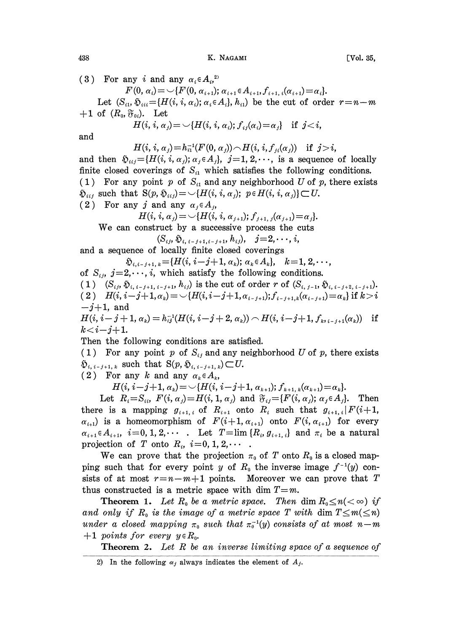438 K. NAGAMI [Vol. 35,

(3) For any i and any  $\alpha_i \in A_i$ ,<sup>2)</sup>  $F(0, \alpha_i) = \bigcup \{F(0, \alpha_{i+1}); \alpha_{i+1} \in A_{i+1}, f_{i+1, i}(\alpha_{i+1}) = \alpha_i\}.$ Let  $(S_{ii}, \mathfrak{H}_{iii} = \{H(i, i, \alpha_i); \alpha_i \in A_i\}, h_{ii}\}$  be the cut of order  $r=n-m$  $+1$  of  $(R_0, \mathfrak{F}_{0i})$ . Let  $H(i, i, \alpha_i) = \bigcup \{H(i, i, \alpha_i); f_{ij}(\alpha_i) = \alpha_i\}$  if  $j < i$ , and  $H(i, i, \alpha_j) = h_{i1}^{-1}(F(0, \alpha_j)) \cap H(i, i, f_{i}( \alpha_j))$  if  $j > i$ , and then  $\mathfrak{D}_{i,j} = \{H(i, i, \alpha_j); \alpha_j \in A_j\}, \ j=1, 2, \cdots$ , is a sequence of locally finite closed coverings of  $S_{i1}$  which satisfies the following conditions. (1) For any point p of  $S_{i1}$  and any neighborhood U of p, there exists  $\mathfrak{H}_{iij}$  such that  $S(p, \mathfrak{H}_{iij}) = \bigcup \{H(i, i, \alpha_j); \ p \in H(i, i, \alpha_j)\} \subset U$ . (2) For any j and any  $\alpha_i \in A_i$ ,  $H(i, i, \alpha_j) = \bigcup \{H(i, i, \alpha_{j+1}); f_{j+1, j}(\alpha_{j+1}) = \alpha_j\}.$ We can construct by <sup>a</sup> successive process the cuts  $(S_{ij}, \mathfrak{H}_{i,i-j+1,i-j+1}, h_{ij}), \quad j=2,\cdots, i,$ and a sequence of locally finite closed coverings  $\mathfrak{H}_{i,i-j+1,k} = \{H(i, i-j+1, \alpha_k); \alpha_k \in A_k\}, \quad k=1,2,\cdots,$ of  $S_{ij}$ ,  $j=2,\dots, i$ , which satisfy the following conditions. (1)  $(S_{i,j}, \mathfrak{H}_{i,i-j+1, i-j+1}, h_{ij})$  is the cut of order r of  $(S_{i,j-1}, \mathfrak{H}_{i,i-j+2,i-j+1}).$ (2)  $H(i, i-j+1, \alpha_k) = \bigcup \{H(i, i-j+1, \alpha_{i-j+1}); f_{i-j+1,k}(\alpha_{i-j+1}) = \alpha_k \}$  if  $k > i$  $-j+1$ , and  $H(i, i-j+1, \alpha_k) = h_{ij}^{-1}(H(i, i-j+2, \alpha_k)) \cap H(i, i-j+1, f_{i+j-1}, (\alpha_k))$  if  $k < i - j + 1$ . Then the following conditions are satisfied. (1) For any point p of  $S_{ij}$  and any neighborhood U of p, there exists  $\mathfrak{H}_{i, i-j+1, k}$  such that  $S(p, \mathfrak{H}_{i, i-j+1, k}) \subset U$ . (2) For any k and any  $\alpha_k \in A_k$ ,  $H(i, i-j+1, \alpha_k) = \bigcup \{H(i, i-j+1, \alpha_{k+1}); f_{k+1, k}(\alpha_{k+1}) = \alpha_k\}.$ Let  $R_i = S_{ii}$ ,  $F(i, \alpha_j) = H(i, 1, \alpha_j)$  and  $\mathfrak{F}_{ij} = \{F(i, \alpha_j); \alpha_j \in A_j\}$ . Then there is a mapping  $g_{i+1,i}$  of  $R_{i+1}$  onto  $R_i$  such that  $g_{i+1,i}$   $F(i+1,$  $\alpha_{i+1}$ ) is a homeomorphism of  $F(i+1,\alpha_{i+1})$  onto  $F(i,\alpha_{i+1})$  for every

 $\alpha_{i+1} \in A_{i+1}, i=0, 1, 2, \cdots$  Let  $T = \lim \{R_i, g_{i+1,i}\}\$ and  $\pi_i$  be a natural projection of T onto  $R_i$ ,  $i=0, 1, 2, \cdots$ We can prove that the projection  $\pi_0$  of T onto  $R_0$  is a closed map-

ping such that for every point y of  $R_0$  the inverse image  $f^{-1}(y)$  consists of at most  $r=n-m+1$  points. Moreover we can prove that T thus constructed is a metric space with dim  $T=m$ .

**Theorem 1.** Let  $R_0$  be a metric space. Then dim  $R_0 \le n \ll \infty$  if and only if  $R_0$  is the image of a metric space T with dim  $T \leq m(\leq n)$ under a closed mapping  $\pi_0$  such that  $\pi_0^{-1}(y)$  consists of at most n-m  $+1$  points for every  $y \in R_0$ .

**Theorem 2.** Let R be an inverse limiting space of a sequence of

<sup>2)</sup> In the following  $\alpha_j$  always indicates the element of  $A_j$ .